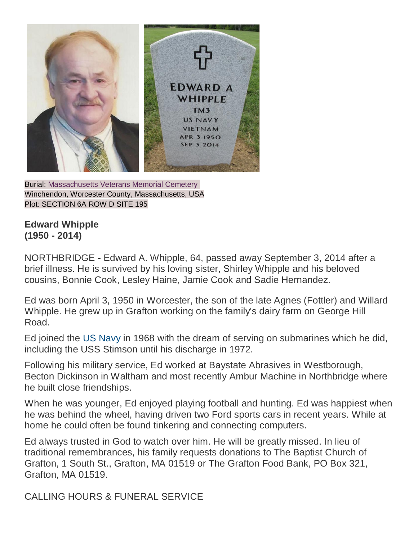

Burial: [Massachusetts Veterans Memorial Cemetery](http://findagrave.com/cgi-bin/fg.cgi?page=cr&GSln=whipple&GSfn=edward&GSbyrel=all&GSdy=2014&GSdyrel=in&GSob=n&GRid=148220817&CRid=2177674&df=all&) Winchendon, Worcester County, Massachusetts, USA Plot: SECTION 6A ROW D SITE 195

## **Edward Whipple (1950 - 2014)**

NORTHBRIDGE - Edward A. Whipple, 64, passed away September 3, 2014 after a brief illness. He is survived by his loving sister, Shirley Whipple and his beloved cousins, Bonnie Cook, Lesley Haine, Jamie Cook and Sadie Hernandez.

Ed was born April 3, 1950 in Worcester, the son of the late Agnes (Fottler) and Willard Whipple. He grew up in Grafton working on the family's dairy farm on George Hill Road.

Ed joined the [US Navy](http://www.legacy.com/memorial-sites/navy/?personid=172370449&affiliateID=1732) in 1968 with the dream of serving on submarines which he did, including the USS Stimson until his discharge in 1972.

Following his military service, Ed worked at Baystate Abrasives in Westborough, Becton Dickinson in Waltham and most recently Ambur Machine in Northbridge where he built close friendships.

When he was younger, Ed enjoyed playing football and hunting. Ed was happiest when he was behind the wheel, having driven two Ford sports cars in recent years. While at home he could often be found tinkering and connecting computers.

Ed always trusted in God to watch over him. He will be greatly missed. In lieu of traditional remembrances, his family requests donations to The Baptist Church of Grafton, 1 South St., Grafton, MA 01519 or The Grafton Food Bank, PO Box 321, Grafton, MA 01519.

CALLING HOURS & FUNERAL SERVICE